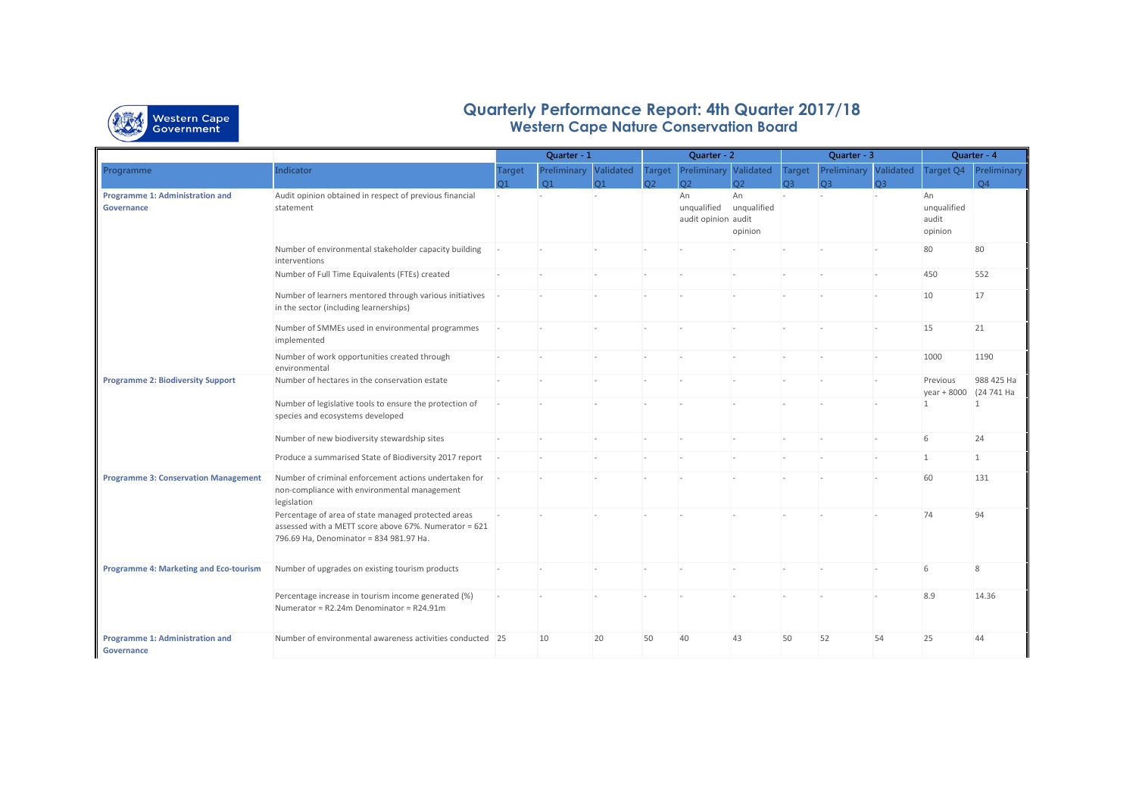

## **Quarterly Performance Report: 4th Quarter 2017/18 Western Cape Nature Conservation Board**

|                                                      |                                                                                                                                                         | Quarter - 1    |                       |            | Quarter - 2    |                                          |                              | Quarter - 3    |                              |                | Quarter - 4                           |                              |
|------------------------------------------------------|---------------------------------------------------------------------------------------------------------------------------------------------------------|----------------|-----------------------|------------|----------------|------------------------------------------|------------------------------|----------------|------------------------------|----------------|---------------------------------------|------------------------------|
| Programme                                            | <b>Indicator</b>                                                                                                                                        | <b>Target</b>  | Preliminary Validated |            | <b>Target</b>  | <b>Preliminary Validated</b>             |                              | <b>Target</b>  | <b>Preliminary Validated</b> |                |                                       | <b>Target Q4 Preliminary</b> |
|                                                      |                                                                                                                                                         | O <sub>1</sub> | O <sub>1</sub>        | $\Omega$ 1 | O <sub>2</sub> | O <sub>2</sub>                           | O <sub>2</sub>               | C <sub>3</sub> | <b>CO</b>                    | O <sub>3</sub> |                                       | $\Omega$                     |
| Programme 1: Administration and<br><b>Governance</b> | Audit opinion obtained in respect of previous financial<br>statement                                                                                    |                |                       |            |                | An<br>unqualified<br>audit opinion audit | An<br>unqualified<br>opinion |                |                              |                | An<br>unqualified<br>audit<br>opinion |                              |
|                                                      | Number of environmental stakeholder capacity building<br>interventions                                                                                  |                |                       |            |                |                                          |                              |                |                              |                | 80                                    | 80                           |
|                                                      | Number of Full Time Equivalents (FTEs) created                                                                                                          |                |                       |            |                |                                          |                              |                |                              |                | 450                                   | 552                          |
|                                                      | Number of learners mentored through various initiatives<br>in the sector (including learnerships)                                                       |                |                       |            |                |                                          |                              |                |                              |                | 10                                    | 17                           |
|                                                      | Number of SMMEs used in environmental programmes<br>implemented                                                                                         |                |                       |            |                |                                          |                              |                |                              |                | 15                                    | 21                           |
|                                                      | Number of work opportunities created through<br>environmental                                                                                           |                |                       |            |                |                                          |                              |                |                              |                | 1000                                  | 1190                         |
| <b>Programme 2: Biodiversity Support</b>             | Number of hectares in the conservation estate                                                                                                           |                |                       |            |                |                                          |                              |                |                              |                | Previous<br>year + 8000               | 988 425 Ha<br>(24 741 Ha     |
|                                                      | Number of legislative tools to ensure the protection of<br>species and ecosystems developed                                                             |                |                       |            |                |                                          |                              |                |                              |                | $\mathbf{1}$                          | $\mathbf{1}$                 |
|                                                      | Number of new biodiversity stewardship sites                                                                                                            |                |                       |            |                |                                          |                              |                |                              |                | 6                                     | 24                           |
|                                                      | Produce a summarised State of Biodiversity 2017 report                                                                                                  |                |                       |            |                |                                          |                              |                |                              |                | $\mathbf{1}$                          | $\mathbf{1}$                 |
| <b>Programme 3: Conservation Management</b>          | Number of criminal enforcement actions undertaken for<br>non-compliance with environmental management<br>legislation                                    |                |                       |            |                |                                          |                              |                |                              |                | 60                                    | 131                          |
|                                                      | Percentage of area of state managed protected areas<br>assessed with a METT score above 67%. Numerator = 621<br>796.69 Ha, Denominator = 834 981.97 Ha. |                |                       |            |                |                                          |                              |                |                              |                | 74                                    | 94                           |
| <b>Programme 4: Marketing and Eco-tourism</b>        | Number of upgrades on existing tourism products                                                                                                         |                |                       |            |                |                                          |                              |                |                              |                | 6                                     | 8                            |
|                                                      | Percentage increase in tourism income generated (%)<br>Numerator = R2.24m Denominator = R24.91m                                                         |                |                       |            |                |                                          |                              |                |                              |                | 8.9                                   | 14.36                        |
| <b>Programme 1: Administration and</b><br>Governance | Number of environmental awareness activities conducted 25                                                                                               |                | 10                    | 20         | 50             | 40                                       | 43                           | 50             | 52                           | 54             | 25                                    | 44                           |